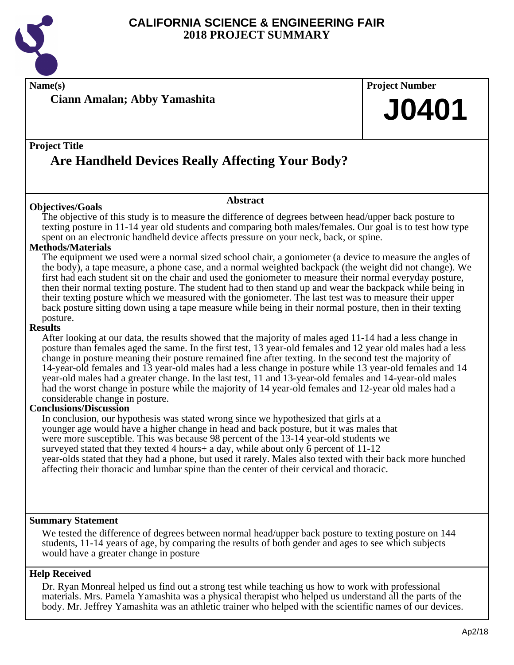

**Name(s) Project Number**

**Ciann Amalan; Abby Yamashita**

## **Project Title**

# **Are Handheld Devices Really Affecting Your Body?**

## **Objectives/Goals**

The objective of this study is to measure the difference of degrees between head/upper back posture to texting posture in 11-14 year old students and comparing both males/females. Our goal is to test how type spent on an electronic handheld device affects pressure on your neck, back, or spine.

**Abstract**

## **Methods/Materials**

The equipment we used were a normal sized school chair, a goniometer (a device to measure the angles of the body), a tape measure, a phone case, and a normal weighted backpack (the weight did not change). We first had each student sit on the chair and used the goniometer to measure their normal everyday posture, then their normal texting posture. The student had to then stand up and wear the backpack while being in their texting posture which we measured with the goniometer. The last test was to measure their upper back posture sitting down using a tape measure while being in their normal posture, then in their texting posture.

### **Results**

After looking at our data, the results showed that the majority of males aged 11-14 had a less change in posture than females aged the same. In the first test, 13 year-old females and 12 year old males had a less change in posture meaning their posture remained fine after texting. In the second test the majority of 14-year-old females and 13 year-old males had a less change in posture while 13 year-old females and 14 year-old males had a greater change. In the last test, 11 and 13-year-old females and 14-year-old males had the worst change in posture while the majority of 14 year-old females and 12-year old males had a considerable change in posture.

## **Conclusions/Discussion**

In conclusion, our hypothesis was stated wrong since we hypothesized that girls at a younger age would have a higher change in head and back posture, but it was males that were more susceptible. This was because 98 percent of the 13-14 year-old students we surveyed stated that they texted 4 hours+ a day, while about only 6 percent of 11-12 year-olds stated that they had a phone, but used it rarely. Males also texted with their back more hunched affecting their thoracic and lumbar spine than the center of their cervical and thoracic.

## **Summary Statement**

We tested the difference of degrees between normal head/upper back posture to texting posture on 144 students, 11-14 years of age, by comparing the results of both gender and ages to see which subjects would have a greater change in posture

## **Help Received**

Dr. Ryan Monreal helped us find out a strong test while teaching us how to work with professional materials. Mrs. Pamela Yamashita was a physical therapist who helped us understand all the parts of the body. Mr. Jeffrey Yamashita was an athletic trainer who helped with the scientific names of our devices.

**J0401**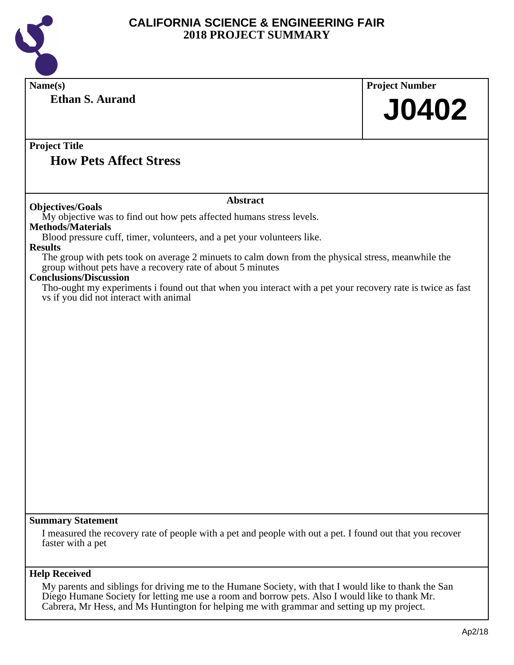

| Name(s)                                                                                                                                                                                                                                                                                               | <b>Project Number</b> |
|-------------------------------------------------------------------------------------------------------------------------------------------------------------------------------------------------------------------------------------------------------------------------------------------------------|-----------------------|
| <b>Ethan S. Aurand</b>                                                                                                                                                                                                                                                                                | <b>J0402</b>          |
| <b>Project Title</b><br><b>How Pets Affect Stress</b>                                                                                                                                                                                                                                                 |                       |
| <b>Abstract</b>                                                                                                                                                                                                                                                                                       |                       |
| <b>Objectives/Goals</b><br>My objective was to find out how pets affected humans stress levels.                                                                                                                                                                                                       |                       |
| <b>Methods/Materials</b><br>Blood pressure cuff, timer, volunteers, and a pet your volunteers like.                                                                                                                                                                                                   |                       |
| <b>Results</b>                                                                                                                                                                                                                                                                                        |                       |
| The group with pets took on average 2 minuets to calm down from the physical stress, meanwhile the<br>group without pets have a recovery rate of about 5 minutes                                                                                                                                      |                       |
| <b>Conclusions/Discussion</b><br>Tho-ought my experiments i found out that when you interact with a pet your recovery rate is twice as fast<br>vs if you did not interact with animal                                                                                                                 |                       |
|                                                                                                                                                                                                                                                                                                       |                       |
|                                                                                                                                                                                                                                                                                                       |                       |
|                                                                                                                                                                                                                                                                                                       |                       |
|                                                                                                                                                                                                                                                                                                       |                       |
|                                                                                                                                                                                                                                                                                                       |                       |
|                                                                                                                                                                                                                                                                                                       |                       |
|                                                                                                                                                                                                                                                                                                       |                       |
|                                                                                                                                                                                                                                                                                                       |                       |
|                                                                                                                                                                                                                                                                                                       |                       |
|                                                                                                                                                                                                                                                                                                       |                       |
|                                                                                                                                                                                                                                                                                                       |                       |
|                                                                                                                                                                                                                                                                                                       |                       |
|                                                                                                                                                                                                                                                                                                       |                       |
| <b>Summary Statement</b>                                                                                                                                                                                                                                                                              |                       |
| I measured the recovery rate of people with a pet and people with out a pet. I found out that you recover<br>faster with a pet                                                                                                                                                                        |                       |
| <b>Help Received</b>                                                                                                                                                                                                                                                                                  |                       |
| My parents and siblings for driving me to the Humane Society, with that I would like to thank the San<br>Diego Humane Society for letting me use a room and borrow pets. Also I would like to thank Mr.<br>Cabrera, Mr Hess, and Ms Huntington for helping me with grammar and setting up my project. |                       |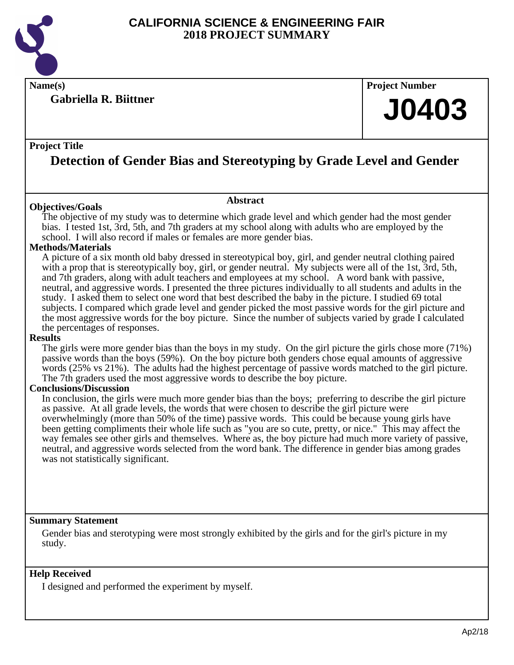

**Gabriella R. Biittner**

# **Name(s) Project Number**

# **J0403**

## **Project Title**

# **Detection of Gender Bias and Stereotyping by Grade Level and Gender**

## **Objectives/Goals**

The objective of my study was to determine which grade level and which gender had the most gender bias. I tested 1st, 3rd, 5th, and 7th graders at my school along with adults who are employed by the school. I will also record if males or females are more gender bias.

**Abstract**

## **Methods/Materials**

A picture of a six month old baby dressed in stereotypical boy, girl, and gender neutral clothing paired with a prop that is stereotypically boy, girl, or gender neutral. My subjects were all of the 1st, 3rd, 5th, and 7th graders, along with adult teachers and employees at my school. A word bank with passive, neutral, and aggressive words. I presented the three pictures individually to all students and adults in the study. I asked them to select one word that best described the baby in the picture. I studied 69 total subjects. I compared which grade level and gender picked the most passive words for the girl picture and the most aggressive words for the boy picture. Since the number of subjects varied by grade I calculated the percentages of responses.

### **Results**

The girls were more gender bias than the boys in my study. On the girl picture the girls chose more (71%) passive words than the boys (59%). On the boy picture both genders chose equal amounts of aggressive words (25% vs 21%). The adults had the highest percentage of passive words matched to the girl picture. The 7th graders used the most aggressive words to describe the boy picture.

## **Conclusions/Discussion**

In conclusion, the girls were much more gender bias than the boys; preferring to describe the girl picture as passive. At all grade levels, the words that were chosen to describe the girl picture were overwhelmingly (more than 50% of the time) passive words. This could be because young girls have been getting compliments their whole life such as "you are so cute, pretty, or nice." This may affect the way females see other girls and themselves. Where as, the boy picture had much more variety of passive, neutral, and aggressive words selected from the word bank. The difference in gender bias among grades was not statistically significant.

## **Summary Statement**

Gender bias and sterotyping were most strongly exhibited by the girls and for the girl's picture in my study.

## **Help Received**

I designed and performed the experiment by myself.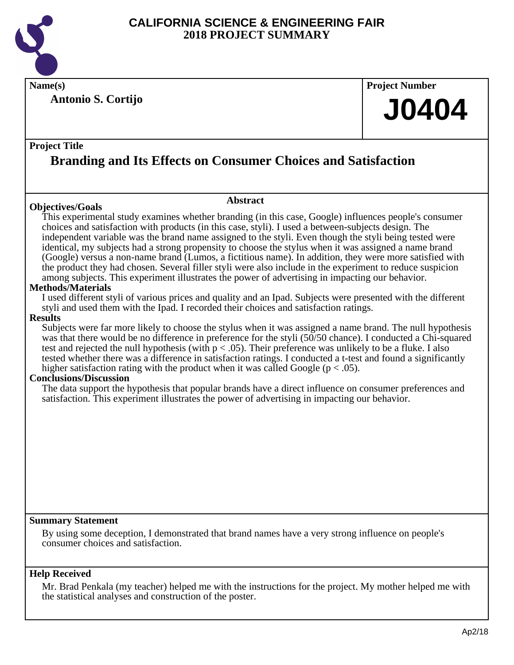

**Antonio S. Cortijo**

**Name(s) Project Number**

# **J0404**

## **Project Title**

# **Branding and Its Effects on Consumer Choices and Satisfaction**

## **Objectives/Goals**

**Abstract**

This experimental study examines whether branding (in this case, Google) influences people's consumer choices and satisfaction with products (in this case, styli). I used a between-subjects design. The independent variable was the brand name assigned to the styli. Even though the styli being tested were identical, my subjects had a strong propensity to choose the stylus when it was assigned a name brand (Google) versus a non-name brand (Lumos, a fictitious name). In addition, they were more satisfied with the product they had chosen. Several filler styli were also include in the experiment to reduce suspicion among subjects. This experiment illustrates the power of advertising in impacting our behavior.

## **Methods/Materials**

I used different styli of various prices and quality and an Ipad. Subjects were presented with the different styli and used them with the Ipad. I recorded their choices and satisfaction ratings.

## **Results**

Subjects were far more likely to choose the stylus when it was assigned a name brand. The null hypothesis was that there would be no difference in preference for the styli (50/50 chance). I conducted a Chi-squared test and rejected the null hypothesis (with  $p < .05$ ). Their preference was unlikely to be a fluke. I also tested whether there was a difference in satisfaction ratings. I conducted a t-test and found a significantly higher satisfaction rating with the product when it was called Google ( $p < .05$ ).

## **Conclusions/Discussion**

The data support the hypothesis that popular brands have a direct influence on consumer preferences and satisfaction. This experiment illustrates the power of advertising in impacting our behavior.

## **Summary Statement**

By using some deception, I demonstrated that brand names have a very strong influence on people's consumer choices and satisfaction.

## **Help Received**

Mr. Brad Penkala (my teacher) helped me with the instructions for the project. My mother helped me with the statistical analyses and construction of the poster.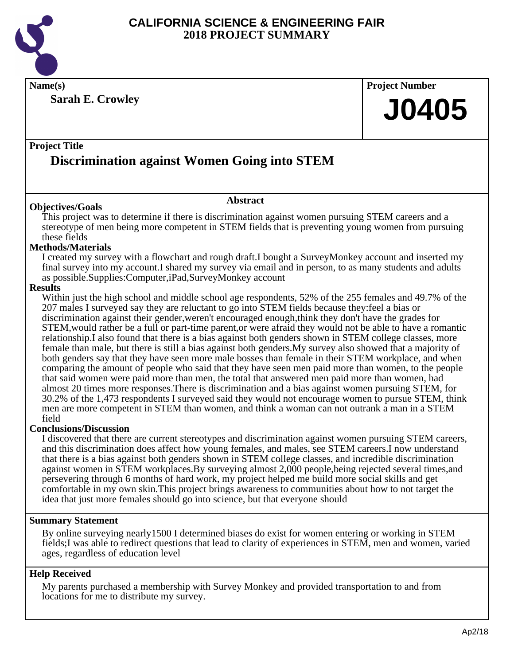

**Name(s) Project Number**

**Sarah E. Crowley**

# **J0405**

# **Project Title Discrimination against Women Going into STEM**

## **Objectives/Goals**

This project was to determine if there is discrimination against women pursuing STEM careers and a stereotype of men being more competent in STEM fields that is preventing young women from pursuing these fields

**Abstract**

## **Methods/Materials**

I created my survey with a flowchart and rough draft.I bought a SurveyMonkey account and inserted my final survey into my account.I shared my survey via email and in person, to as many students and adults as possible.Supplies:Computer,iPad,SurveyMonkey account

## **Results**

Within just the high school and middle school age respondents, 52% of the 255 females and 49.7% of the 207 males I surveyed say they are reluctant to go into STEM fields because they:feel a bias or discrimination against their gender,weren't encouraged enough,think they don't have the grades for STEM,would rather be a full or part-time parent,or were afraid they would not be able to have a romantic relationship.I also found that there is a bias against both genders shown in STEM college classes, more female than male, but there is still a bias against both genders.My survey also showed that a majority of both genders say that they have seen more male bosses than female in their STEM workplace, and when comparing the amount of people who said that they have seen men paid more than women, to the people that said women were paid more than men, the total that answered men paid more than women, had almost 20 times more responses.There is discrimination and a bias against women pursuing STEM, for 30.2% of the 1,473 respondents I surveyed said they would not encourage women to pursue STEM, think men are more competent in STEM than women, and think a woman can not outrank a man in a STEM field

## **Conclusions/Discussion**

I discovered that there are current stereotypes and discrimination against women pursuing STEM careers, and this discrimination does affect how young females, and males, see STEM careers.I now understand that there is a bias against both genders shown in STEM college classes, and incredible discrimination against women in STEM workplaces.By surveying almost 2,000 people,being rejected several times,and persevering through 6 months of hard work, my project helped me build more social skills and get comfortable in my own skin.This project brings awareness to communities about how to not target the idea that just more females should go into science, but that everyone should

## **Summary Statement**

By online surveying nearly1500 I determined biases do exist for women entering or working in STEM fields;I was able to redirect questions that lead to clarity of experiences in STEM, men and women, varied ages, regardless of education level

## **Help Received**

My parents purchased a membership with Survey Monkey and provided transportation to and from locations for me to distribute my survey.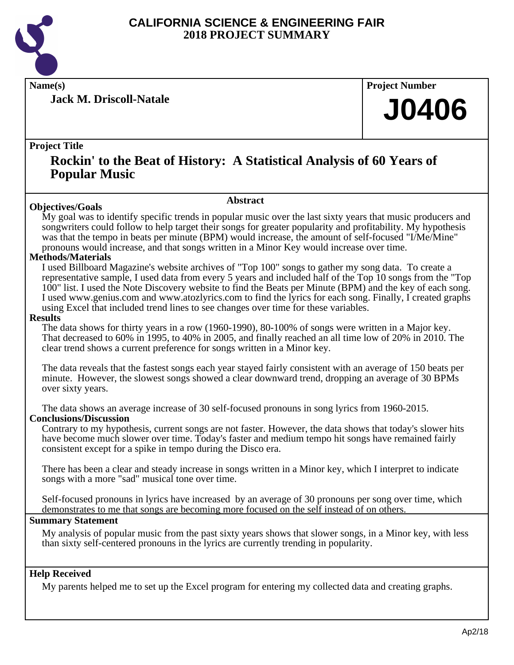

**Jack M. Driscoll-Natale**

**Name(s) Project Number**

# **J0406**

## **Project Title**

# **Rockin' to the Beat of History: A Statistical Analysis of 60 Years of Popular Music**

### **Abstract**

**Objectives/Goals** My goal was to identify specific trends in popular music over the last sixty years that music producers and songwriters could follow to help target their songs for greater popularity and profitability. My hypothesis was that the tempo in beats per minute (BPM) would increase, the amount of self-focused "I/Me/Mine" pronouns would increase, and that songs written in a Minor Key would increase over time.

## **Methods/Materials**

I used Billboard Magazine's website archives of "Top 100" songs to gather my song data. To create a representative sample, I used data from every 5 years and included half of the Top 10 songs from the "Top 100" list. I used the Note Discovery website to find the Beats per Minute (BPM) and the key of each song. I used www.genius.com and www.atozlyrics.com to find the lyrics for each song. Finally, I created graphs using Excel that included trend lines to see changes over time for these variables.

#### **Results**

The data shows for thirty years in a row (1960-1990), 80-100% of songs were written in a Major key. That decreased to 60% in 1995, to 40% in 2005, and finally reached an all time low of 20% in 2010. The clear trend shows a current preference for songs written in a Minor key.

The data reveals that the fastest songs each year stayed fairly consistent with an average of 150 beats per minute. However, the slowest songs showed a clear downward trend, dropping an average of 30 BPMs over sixty years.

The data shows an average increase of 30 self-focused pronouns in song lyrics from 1960-2015. **Conclusions/Discussion**

Contrary to my hypothesis, current songs are not faster. However, the data shows that today's slower hits have become much slower over time. Today's faster and medium tempo hit songs have remained fairly consistent except for a spike in tempo during the Disco era.

There has been a clear and steady increase in songs written in a Minor key, which I interpret to indicate songs with a more "sad" musical tone over time.

Self-focused pronouns in lyrics have increased by an average of 30 pronouns per song over time, which demonstrates to me that songs are becoming more focused on the self instead of on others.

## **Summary Statement**

My analysis of popular music from the past sixty years shows that slower songs, in a Minor key, with less than sixty self-centered pronouns in the lyrics are currently trending in popularity.

## **Help Received**

My parents helped me to set up the Excel program for entering my collected data and creating graphs.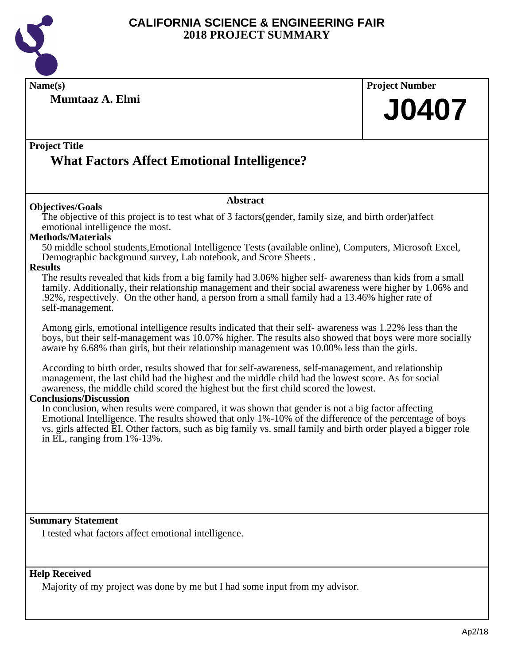

| Name(s)                                                                                                                                                                                                                                                                                                                                                                          | <b>Project Number</b> |
|----------------------------------------------------------------------------------------------------------------------------------------------------------------------------------------------------------------------------------------------------------------------------------------------------------------------------------------------------------------------------------|-----------------------|
| Mumtaaz A. Elmi                                                                                                                                                                                                                                                                                                                                                                  | <b>J0407</b>          |
| <b>Project Title</b><br><b>What Factors Affect Emotional Intelligence?</b>                                                                                                                                                                                                                                                                                                       |                       |
| <b>Abstract</b>                                                                                                                                                                                                                                                                                                                                                                  |                       |
| <b>Objectives/Goals</b><br>The objective of this project is to test what of 3 factors (gender, family size, and birth order) affect<br>emotional intelligence the most.<br><b>Methods/Materials</b><br>50 middle school students, Emotional Intelligence Tests (available online), Computers, Microsoft Excel,<br>Demographic background survey, Lab notebook, and Score Sheets. |                       |
| <b>Results</b><br>The results revealed that kids from a big family had 3.06% higher self- awareness than kids from a small<br>family. Additionally, their relationship management and their social awareness were higher by 1.06% and<br>.92%, respectively. On the other hand, a person from a small family had a 13.46% higher rate of<br>self-management.                     |                       |
| Among girls, emotional intelligence results indicated that their self- awareness was 1.22% less than the<br>boys, but their self-management was 10.07% higher. The results also showed that boys were more socially<br>aware by 6.68% than girls, but their relationship management was 10.00% less than the girls.                                                              |                       |
| According to birth order, results showed that for self-awareness, self-management, and relationship<br>management, the last child had the highest and the middle child had the lowest score. As for social<br>awareness, the middle child scored the highest but the first child scored the lowest.<br><b>Conclusions/Discussion</b>                                             |                       |
| In conclusion, when results were compared, it was shown that gender is not a big factor affecting<br>Emotional Intelligence. The results showed that only 1%-10% of the difference of the percentage of boys<br>vs. girls affected EI. Other factors, such as big family vs. small family and birth order played a bigger role<br>in EL, ranging from $1\% - 13\%$ .             |                       |
|                                                                                                                                                                                                                                                                                                                                                                                  |                       |
| <b>Summary Statement</b>                                                                                                                                                                                                                                                                                                                                                         |                       |
| I tested what factors affect emotional intelligence.                                                                                                                                                                                                                                                                                                                             |                       |
| <b>Help Received</b><br>Majority of my project was done by me but I had some input from my advisor.                                                                                                                                                                                                                                                                              |                       |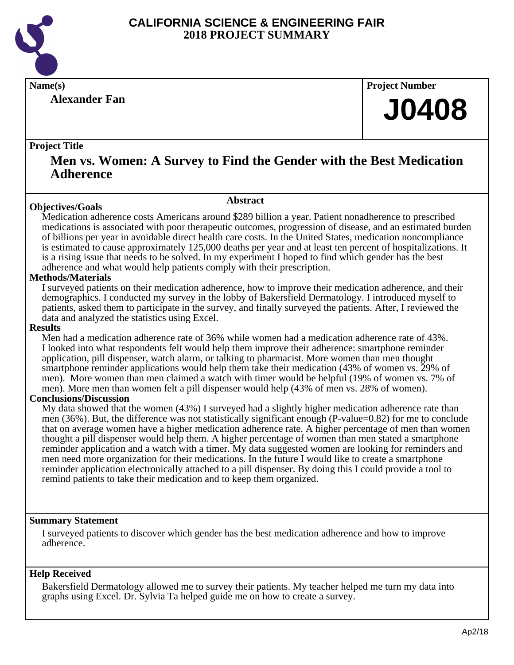

**Alexander Fan**

**Name(s) Project Number**

# **J0408**

## **Project Title**

# **Men vs. Women: A Survey to Find the Gender with the Best Medication Adherence**

## **Objectives/Goals**

**Abstract**

Medication adherence costs Americans around \$289 billion a year. Patient nonadherence to prescribed medications is associated with poor therapeutic outcomes, progression of disease, and an estimated burden of billions per year in avoidable direct health care costs. In the United States, medication noncompliance is estimated to cause approximately 125,000 deaths per year and at least ten percent of hospitalizations. It is a rising issue that needs to be solved. In my experiment I hoped to find which gender has the best adherence and what would help patients comply with their prescription.

## **Methods/Materials**

I surveyed patients on their medication adherence, how to improve their medication adherence, and their demographics. I conducted my survey in the lobby of Bakersfield Dermatology. I introduced myself to patients, asked them to participate in the survey, and finally surveyed the patients. After, I reviewed the data and analyzed the statistics using Excel.

#### **Results**

Men had a medication adherence rate of 36% while women had a medication adherence rate of 43%. I looked into what respondents felt would help them improve their adherence: smartphone reminder application, pill dispenser, watch alarm, or talking to pharmacist. More women than men thought smartphone reminder applications would help them take their medication (43% of women vs. 29% of men). More women than men claimed a watch with timer would be helpful (19% of women vs. 7% of men). More men than women felt a pill dispenser would help (43% of men vs. 28% of women).

## **Conclusions/Discussion**

My data showed that the women (43%) I surveyed had a slightly higher medication adherence rate than men (36%). But, the difference was not statistically significant enough (P-value=0.82) for me to conclude that on average women have a higher medication adherence rate. A higher percentage of men than women thought a pill dispenser would help them. A higher percentage of women than men stated a smartphone reminder application and a watch with a timer. My data suggested women are looking for reminders and men need more organization for their medications. In the future I would like to create a smartphone reminder application electronically attached to a pill dispenser. By doing this I could provide a tool to remind patients to take their medication and to keep them organized.

## **Summary Statement**

I surveyed patients to discover which gender has the best medication adherence and how to improve adherence.

## **Help Received**

Bakersfield Dermatology allowed me to survey their patients. My teacher helped me turn my data into graphs using Excel. Dr. Sylvia Ta helped guide me on how to create a survey.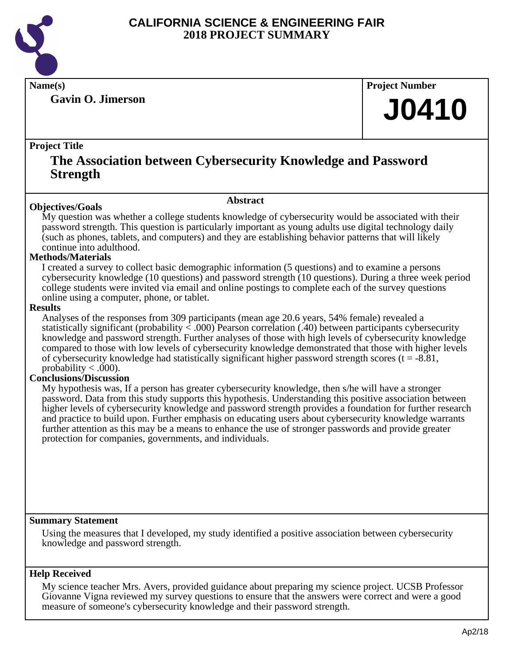

**Gavin O. Jimerson**

**Name(s) Project Number**

# **J0410**

## **Project Title**

# **The Association between Cybersecurity Knowledge and Password Strength**

### **Abstract**

**Objectives/Goals** My question was whether a college students knowledge of cybersecurity would be associated with their password strength. This question is particularly important as young adults use digital technology daily (such as phones, tablets, and computers) and they are establishing behavior patterns that will likely continue into adulthood.

## **Methods/Materials**

I created a survey to collect basic demographic information (5 questions) and to examine a persons cybersecurity knowledge (10 questions) and password strength (10 questions). During a three week period college students were invited via email and online postings to complete each of the survey questions online using a computer, phone, or tablet.

### **Results**

Analyses of the responses from 309 participants (mean age 20.6 years, 54% female) revealed a statistically significant (probability < .000) Pearson correlation (.40) between participants cybersecurity knowledge and password strength. Further analyses of those with high levels of cybersecurity knowledge compared to those with low levels of cybersecurity knowledge demonstrated that those with higher levels of cybersecurity knowledge had statistically significant higher password strength scores ( $t = -8.81$ , probability  $< .000$ ).

## **Conclusions/Discussion**

My hypothesis was, If a person has greater cybersecurity knowledge, then s/he will have a stronger password. Data from this study supports this hypothesis. Understanding this positive association between higher levels of cybersecurity knowledge and password strength provides a foundation for further research and practice to build upon. Further emphasis on educating users about cybersecurity knowledge warrants further attention as this may be a means to enhance the use of stronger passwords and provide greater protection for companies, governments, and individuals.

## **Summary Statement**

Using the measures that I developed, my study identified a positive association between cybersecurity knowledge and password strength.

## **Help Received**

My science teacher Mrs. Avers, provided guidance about preparing my science project. UCSB Professor Giovanne Vigna reviewed my survey questions to ensure that the answers were correct and were a good measure of someone's cybersecurity knowledge and their password strength.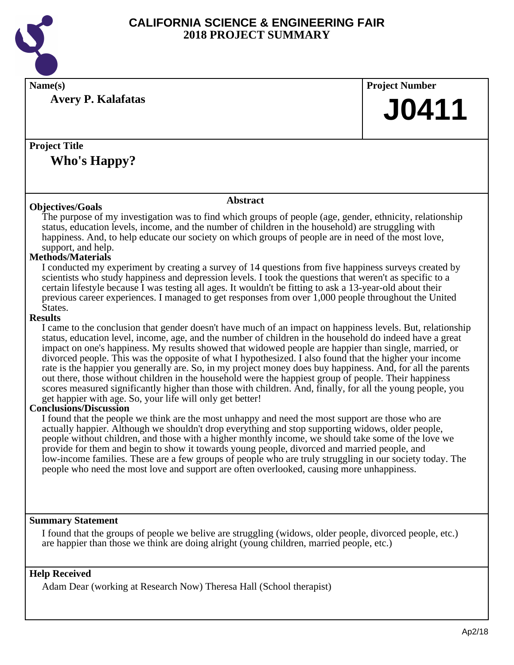

| Name(s)                                                                                                                                                                                                           | <b>Project Number</b> |
|-------------------------------------------------------------------------------------------------------------------------------------------------------------------------------------------------------------------|-----------------------|
| <b>Avery P. Kalafatas</b>                                                                                                                                                                                         |                       |
|                                                                                                                                                                                                                   | <b>J0411</b>          |
|                                                                                                                                                                                                                   |                       |
| <b>Project Title</b>                                                                                                                                                                                              |                       |
|                                                                                                                                                                                                                   |                       |
| <b>Who's Happy?</b>                                                                                                                                                                                               |                       |
|                                                                                                                                                                                                                   |                       |
|                                                                                                                                                                                                                   |                       |
| <b>Abstract</b><br><b>Objectives/Goals</b>                                                                                                                                                                        |                       |
| The purpose of my investigation was to find which groups of people (age, gender, ethnicity, relationship                                                                                                          |                       |
| status, education levels, income, and the number of children in the household) are struggling with                                                                                                                |                       |
| happiness. And, to help educate our society on which groups of people are in need of the most love,<br>support, and help.                                                                                         |                       |
| <b>Methods/Materials</b>                                                                                                                                                                                          |                       |
| I conducted my experiment by creating a survey of 14 questions from five happiness surveys created by                                                                                                             |                       |
| scientists who study happiness and depression levels. I took the questions that weren't as specific to a                                                                                                          |                       |
| certain lifestyle because I was testing all ages. It wouldn't be fitting to ask a 13-year-old about their<br>previous career experiences. I managed to get responses from over 1,000 people throughout the United |                       |
| States.                                                                                                                                                                                                           |                       |
| <b>Results</b>                                                                                                                                                                                                    |                       |
| I came to the conclusion that gender doesn't have much of an impact on happiness levels. But, relationship                                                                                                        |                       |
| status, education level, income, age, and the number of children in the household do indeed have a great<br>impact on one's happiness. My results showed that widowed people are happier than single, married, or |                       |
| divorced people. This was the opposite of what I hypothesized. I also found that the higher your income                                                                                                           |                       |
| rate is the happier you generally are. So, in my project money does buy happiness. And, for all the parents                                                                                                       |                       |
| out there, those without children in the household were the happiest group of people. Their happiness                                                                                                             |                       |
| scores measured significantly higher than those with children. And, finally, for all the young people, you<br>get happier with age. So, your life will only get better!                                           |                       |
| <b>Conclusions/Discussion</b>                                                                                                                                                                                     |                       |
| I found that the people we think are the most unhappy and need the most support are those who are                                                                                                                 |                       |
| actually happier. Although we shouldn't drop everything and stop supporting widows, older people,                                                                                                                 |                       |
| people without children, and those with a higher monthly income, we should take some of the love we                                                                                                               |                       |
| provide for them and begin to show it towards young people, divorced and married people, and<br>low-income families. These are a few groups of people who are truly struggling in our society today. The          |                       |
| people who need the most love and support are often overlooked, causing more unhappiness.                                                                                                                         |                       |
|                                                                                                                                                                                                                   |                       |
|                                                                                                                                                                                                                   |                       |
|                                                                                                                                                                                                                   |                       |
| <b>Summary Statement</b>                                                                                                                                                                                          |                       |

I found that the groups of people we belive are struggling (widows, older people, divorced people, etc.) are happier than those we think are doing alright (young children, married people, etc.)

## **Help Received**

Adam Dear (working at Research Now) Theresa Hall (School therapist)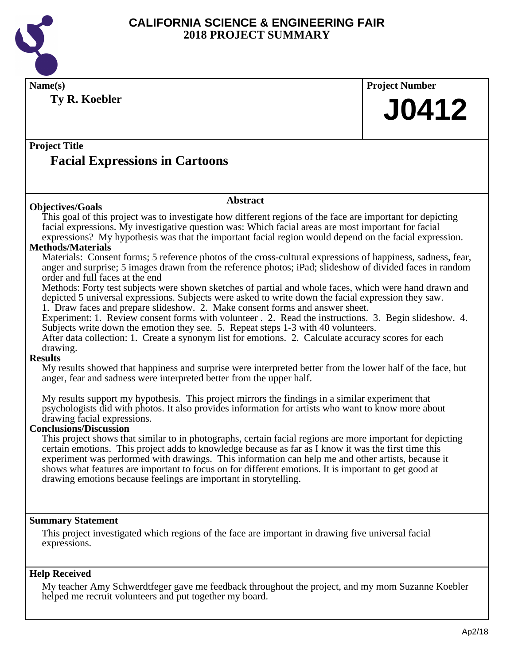

**Name(s) Project Number Ty R. Koebler**

# **J0412**

# **Project Title Facial Expressions in Cartoons**

## **Abstract**

**Objectives/Goals** This goal of this project was to investigate how different regions of the face are important for depicting facial expressions. My investigative question was: Which facial areas are most important for facial expressions? My hypothesis was that the important facial region would depend on the facial expression.

### **Methods/Materials**

Materials: Consent forms; 5 reference photos of the cross-cultural expressions of happiness, sadness, fear, anger and surprise; 5 images drawn from the reference photos; iPad; slideshow of divided faces in random order and full faces at the end

Methods: Forty test subjects were shown sketches of partial and whole faces, which were hand drawn and depicted 5 universal expressions. Subjects were asked to write down the facial expression they saw. 1. Draw faces and prepare slideshow. 2. Make consent forms and answer sheet.

Experiment: 1. Review consent forms with volunteer . 2. Read the instructions. 3. Begin slideshow. 4. Subjects write down the emotion they see. 5. Repeat steps 1-3 with 40 volunteers.

After data collection: 1. Create a synonym list for emotions. 2. Calculate accuracy scores for each drawing.

## **Results**

My results showed that happiness and surprise were interpreted better from the lower half of the face, but anger, fear and sadness were interpreted better from the upper half.

My results support my hypothesis. This project mirrors the findings in a similar experiment that psychologists did with photos. It also provides information for artists who want to know more about drawing facial expressions.

## **Conclusions/Discussion**

This project shows that similar to in photographs, certain facial regions are more important for depicting certain emotions. This project adds to knowledge because as far as I know it was the first time this experiment was performed with drawings. This information can help me and other artists, because it shows what features are important to focus on for different emotions. It is important to get good at drawing emotions because feelings are important in storytelling.

## **Summary Statement**

This project investigated which regions of the face are important in drawing five universal facial expressions.

## **Help Received**

My teacher Amy Schwerdtfeger gave me feedback throughout the project, and my mom Suzanne Koebler helped me recruit volunteers and put together my board.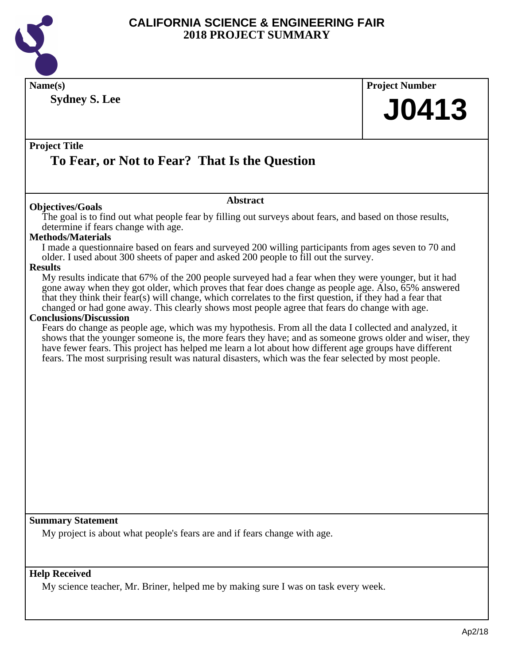

| <b>Sydney S. Lee</b><br><b>J0413</b><br><b>Project Title</b><br>To Fear, or Not to Fear? That Is the Question<br><b>Abstract</b><br><b>Objectives/Goals</b><br>The goal is to find out what people fear by filling out surveys about fears, and based on those results,<br>determine if fears change with age.<br><b>Methods/Materials</b><br>I made a questionnaire based on fears and surveyed 200 willing participants from ages seven to 70 and<br>older. I used about 300 sheets of paper and asked 200 people to fill out the survey.<br>My results indicate that 67% of the 200 people surveyed had a fear when they were younger, but it had<br>gone away when they got older, which proves that fear does change as people age. Also, 65% answered<br>that they think their fear(s) will change, which correlates to the first question, if they had a fear that<br>changed or had gone away. This clearly shows most people agree that fears do change with age.<br><b>Conclusions/Discussion</b><br>Fears do change as people age, which was my hypothesis. From all the data I collected and analyzed, it<br>shows that the younger someone is, the more fears they have; and as someone grows older and wiser, they<br>have fewer fears. This project has helped me learn a lot about how different age groups have different<br>fears. The most surprising result was natural disasters, which was the fear selected by most people.<br><b>Summary Statement</b><br>My project is about what people's fears are and if fears change with age.<br><b>Help Received</b><br>My science teacher, Mr. Briner, helped me by making sure I was on task every week. | Name(s)        | <b>Project Number</b> |
|---------------------------------------------------------------------------------------------------------------------------------------------------------------------------------------------------------------------------------------------------------------------------------------------------------------------------------------------------------------------------------------------------------------------------------------------------------------------------------------------------------------------------------------------------------------------------------------------------------------------------------------------------------------------------------------------------------------------------------------------------------------------------------------------------------------------------------------------------------------------------------------------------------------------------------------------------------------------------------------------------------------------------------------------------------------------------------------------------------------------------------------------------------------------------------------------------------------------------------------------------------------------------------------------------------------------------------------------------------------------------------------------------------------------------------------------------------------------------------------------------------------------------------------------------------------------------------------------------------------------------------------------------------------------------|----------------|-----------------------|
|                                                                                                                                                                                                                                                                                                                                                                                                                                                                                                                                                                                                                                                                                                                                                                                                                                                                                                                                                                                                                                                                                                                                                                                                                                                                                                                                                                                                                                                                                                                                                                                                                                                                           |                |                       |
|                                                                                                                                                                                                                                                                                                                                                                                                                                                                                                                                                                                                                                                                                                                                                                                                                                                                                                                                                                                                                                                                                                                                                                                                                                                                                                                                                                                                                                                                                                                                                                                                                                                                           |                |                       |
|                                                                                                                                                                                                                                                                                                                                                                                                                                                                                                                                                                                                                                                                                                                                                                                                                                                                                                                                                                                                                                                                                                                                                                                                                                                                                                                                                                                                                                                                                                                                                                                                                                                                           |                |                       |
|                                                                                                                                                                                                                                                                                                                                                                                                                                                                                                                                                                                                                                                                                                                                                                                                                                                                                                                                                                                                                                                                                                                                                                                                                                                                                                                                                                                                                                                                                                                                                                                                                                                                           |                |                       |
|                                                                                                                                                                                                                                                                                                                                                                                                                                                                                                                                                                                                                                                                                                                                                                                                                                                                                                                                                                                                                                                                                                                                                                                                                                                                                                                                                                                                                                                                                                                                                                                                                                                                           |                |                       |
|                                                                                                                                                                                                                                                                                                                                                                                                                                                                                                                                                                                                                                                                                                                                                                                                                                                                                                                                                                                                                                                                                                                                                                                                                                                                                                                                                                                                                                                                                                                                                                                                                                                                           |                |                       |
|                                                                                                                                                                                                                                                                                                                                                                                                                                                                                                                                                                                                                                                                                                                                                                                                                                                                                                                                                                                                                                                                                                                                                                                                                                                                                                                                                                                                                                                                                                                                                                                                                                                                           |                |                       |
|                                                                                                                                                                                                                                                                                                                                                                                                                                                                                                                                                                                                                                                                                                                                                                                                                                                                                                                                                                                                                                                                                                                                                                                                                                                                                                                                                                                                                                                                                                                                                                                                                                                                           |                |                       |
|                                                                                                                                                                                                                                                                                                                                                                                                                                                                                                                                                                                                                                                                                                                                                                                                                                                                                                                                                                                                                                                                                                                                                                                                                                                                                                                                                                                                                                                                                                                                                                                                                                                                           |                |                       |
|                                                                                                                                                                                                                                                                                                                                                                                                                                                                                                                                                                                                                                                                                                                                                                                                                                                                                                                                                                                                                                                                                                                                                                                                                                                                                                                                                                                                                                                                                                                                                                                                                                                                           |                |                       |
|                                                                                                                                                                                                                                                                                                                                                                                                                                                                                                                                                                                                                                                                                                                                                                                                                                                                                                                                                                                                                                                                                                                                                                                                                                                                                                                                                                                                                                                                                                                                                                                                                                                                           | <b>Results</b> |                       |
|                                                                                                                                                                                                                                                                                                                                                                                                                                                                                                                                                                                                                                                                                                                                                                                                                                                                                                                                                                                                                                                                                                                                                                                                                                                                                                                                                                                                                                                                                                                                                                                                                                                                           |                |                       |
|                                                                                                                                                                                                                                                                                                                                                                                                                                                                                                                                                                                                                                                                                                                                                                                                                                                                                                                                                                                                                                                                                                                                                                                                                                                                                                                                                                                                                                                                                                                                                                                                                                                                           |                |                       |
|                                                                                                                                                                                                                                                                                                                                                                                                                                                                                                                                                                                                                                                                                                                                                                                                                                                                                                                                                                                                                                                                                                                                                                                                                                                                                                                                                                                                                                                                                                                                                                                                                                                                           |                |                       |
|                                                                                                                                                                                                                                                                                                                                                                                                                                                                                                                                                                                                                                                                                                                                                                                                                                                                                                                                                                                                                                                                                                                                                                                                                                                                                                                                                                                                                                                                                                                                                                                                                                                                           |                |                       |
|                                                                                                                                                                                                                                                                                                                                                                                                                                                                                                                                                                                                                                                                                                                                                                                                                                                                                                                                                                                                                                                                                                                                                                                                                                                                                                                                                                                                                                                                                                                                                                                                                                                                           |                |                       |
|                                                                                                                                                                                                                                                                                                                                                                                                                                                                                                                                                                                                                                                                                                                                                                                                                                                                                                                                                                                                                                                                                                                                                                                                                                                                                                                                                                                                                                                                                                                                                                                                                                                                           |                |                       |
|                                                                                                                                                                                                                                                                                                                                                                                                                                                                                                                                                                                                                                                                                                                                                                                                                                                                                                                                                                                                                                                                                                                                                                                                                                                                                                                                                                                                                                                                                                                                                                                                                                                                           |                |                       |
|                                                                                                                                                                                                                                                                                                                                                                                                                                                                                                                                                                                                                                                                                                                                                                                                                                                                                                                                                                                                                                                                                                                                                                                                                                                                                                                                                                                                                                                                                                                                                                                                                                                                           |                |                       |
|                                                                                                                                                                                                                                                                                                                                                                                                                                                                                                                                                                                                                                                                                                                                                                                                                                                                                                                                                                                                                                                                                                                                                                                                                                                                                                                                                                                                                                                                                                                                                                                                                                                                           |                |                       |
|                                                                                                                                                                                                                                                                                                                                                                                                                                                                                                                                                                                                                                                                                                                                                                                                                                                                                                                                                                                                                                                                                                                                                                                                                                                                                                                                                                                                                                                                                                                                                                                                                                                                           |                |                       |
|                                                                                                                                                                                                                                                                                                                                                                                                                                                                                                                                                                                                                                                                                                                                                                                                                                                                                                                                                                                                                                                                                                                                                                                                                                                                                                                                                                                                                                                                                                                                                                                                                                                                           |                |                       |
|                                                                                                                                                                                                                                                                                                                                                                                                                                                                                                                                                                                                                                                                                                                                                                                                                                                                                                                                                                                                                                                                                                                                                                                                                                                                                                                                                                                                                                                                                                                                                                                                                                                                           |                |                       |
|                                                                                                                                                                                                                                                                                                                                                                                                                                                                                                                                                                                                                                                                                                                                                                                                                                                                                                                                                                                                                                                                                                                                                                                                                                                                                                                                                                                                                                                                                                                                                                                                                                                                           |                |                       |
|                                                                                                                                                                                                                                                                                                                                                                                                                                                                                                                                                                                                                                                                                                                                                                                                                                                                                                                                                                                                                                                                                                                                                                                                                                                                                                                                                                                                                                                                                                                                                                                                                                                                           |                |                       |
|                                                                                                                                                                                                                                                                                                                                                                                                                                                                                                                                                                                                                                                                                                                                                                                                                                                                                                                                                                                                                                                                                                                                                                                                                                                                                                                                                                                                                                                                                                                                                                                                                                                                           |                |                       |
|                                                                                                                                                                                                                                                                                                                                                                                                                                                                                                                                                                                                                                                                                                                                                                                                                                                                                                                                                                                                                                                                                                                                                                                                                                                                                                                                                                                                                                                                                                                                                                                                                                                                           |                |                       |
|                                                                                                                                                                                                                                                                                                                                                                                                                                                                                                                                                                                                                                                                                                                                                                                                                                                                                                                                                                                                                                                                                                                                                                                                                                                                                                                                                                                                                                                                                                                                                                                                                                                                           |                |                       |
|                                                                                                                                                                                                                                                                                                                                                                                                                                                                                                                                                                                                                                                                                                                                                                                                                                                                                                                                                                                                                                                                                                                                                                                                                                                                                                                                                                                                                                                                                                                                                                                                                                                                           |                |                       |
|                                                                                                                                                                                                                                                                                                                                                                                                                                                                                                                                                                                                                                                                                                                                                                                                                                                                                                                                                                                                                                                                                                                                                                                                                                                                                                                                                                                                                                                                                                                                                                                                                                                                           |                |                       |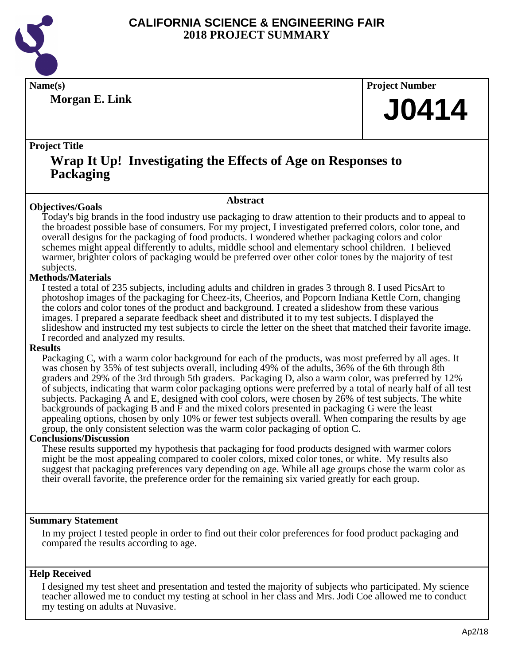

**Morgan E. Link**

**Name(s) Project Number**

# **J0414**

## **Project Title**

# **Wrap It Up! Investigating the Effects of Age on Responses to Packaging**

## **Objectives/Goals**

**Abstract**

Today's big brands in the food industry use packaging to draw attention to their products and to appeal to the broadest possible base of consumers. For my project, I investigated preferred colors, color tone, and overall designs for the packaging of food products. I wondered whether packaging colors and color schemes might appeal differently to adults, middle school and elementary school children. I believed warmer, brighter colors of packaging would be preferred over other color tones by the majority of test subjects.

## **Methods/Materials**

I tested a total of 235 subjects, including adults and children in grades 3 through 8. I used PicsArt to photoshop images of the packaging for Cheez-its, Cheerios, and Popcorn Indiana Kettle Corn, changing the colors and color tones of the product and background. I created a slideshow from these various images. I prepared a separate feedback sheet and distributed it to my test subjects. I displayed the slideshow and instructed my test subjects to circle the letter on the sheet that matched their favorite image. I recorded and analyzed my results.

## **Results**

Packaging C, with a warm color background for each of the products, was most preferred by all ages. It was chosen by 35% of test subjects overall, including 49% of the adults, 36% of the 6th through 8th graders and 29% of the 3rd through 5th graders. Packaging D, also a warm color, was preferred by 12% of subjects, indicating that warm color packaging options were preferred by a total of nearly half of all test subjects. Packaging A and E, designed with cool colors, were chosen by 26% of test subjects. The white backgrounds of packaging B and  $\overline{F}$  and the mixed colors presented in packaging G were the least appealing options, chosen by only 10% or fewer test subjects overall. When comparing the results by age group, the only consistent selection was the warm color packaging of option C.

## **Conclusions/Discussion**

These results supported my hypothesis that packaging for food products designed with warmer colors might be the most appealing compared to cooler colors, mixed color tones, or white. My results also suggest that packaging preferences vary depending on age. While all age groups chose the warm color as their overall favorite, the preference order for the remaining six varied greatly for each group.

## **Summary Statement**

In my project I tested people in order to find out their color preferences for food product packaging and compared the results according to age.

## **Help Received**

I designed my test sheet and presentation and tested the majority of subjects who participated. My science teacher allowed me to conduct my testing at school in her class and Mrs. Jodi Coe allowed me to conduct my testing on adults at Nuvasive.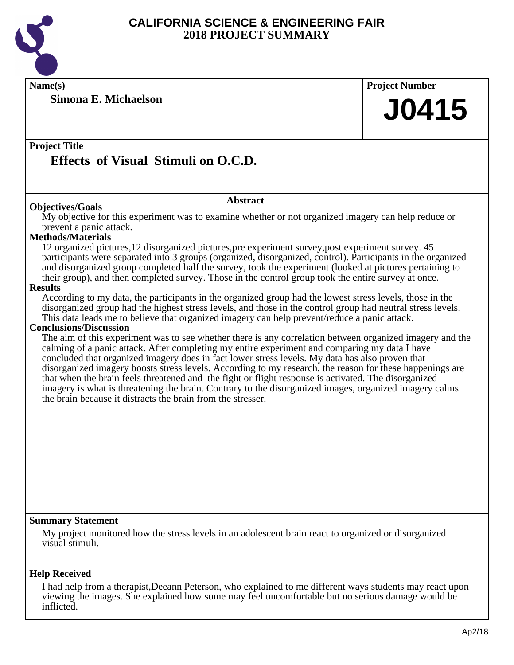

**Name(s) Project Number**

**Simona E. Michaelson**

## **Project Title**

# **Effects of Visual Stimuli on O.C.D.**

## **Abstract**

**Objectives/Goals** My objective for this experiment was to examine whether or not organized imagery can help reduce or prevent a panic attack.

## **Methods/Materials**

12 organized pictures,12 disorganized pictures,pre experiment survey,post experiment survey. 45 participants were separated into 3 groups (organized, disorganized, control). Participants in the organized and disorganized group completed half the survey, took the experiment (looked at pictures pertaining to their group), and then completed survey. Those in the control group took the entire survey at once.

### **Results**

According to my data, the participants in the organized group had the lowest stress levels, those in the disorganized group had the highest stress levels, and those in the control group had neutral stress levels. This data leads me to believe that organized imagery can help prevent/reduce a panic attack.

#### **Conclusions/Discussion**

The aim of this experiment was to see whether there is any correlation between organized imagery and the calming of a panic attack. After completing my entire experiment and comparing my data I have concluded that organized imagery does in fact lower stress levels. My data has also proven that disorganized imagery boosts stress levels. According to my research, the reason for these happenings are that when the brain feels threatened and the fight or flight response is activated. The disorganized imagery is what is threatening the brain. Contrary to the disorganized images, organized imagery calms the brain because it distracts the brain from the stresser.

## **Summary Statement**

My project monitored how the stress levels in an adolescent brain react to organized or disorganized visual stimuli.

## **Help Received**

I had help from a therapist,Deeann Peterson, who explained to me different ways students may react upon viewing the images. She explained how some may feel uncomfortable but no serious damage would be inflicted.

**J0415**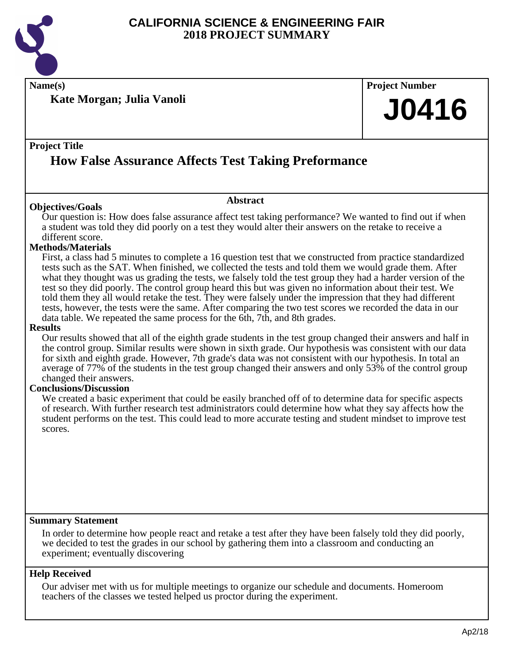

**Name(s) Project Number**

**Kate Morgan; Julia Vanoli**

# **J0416**

## **Project Title**

# **How False Assurance Affects Test Taking Preformance**

## **Objectives/Goals**

Our question is: How does false assurance affect test taking performance? We wanted to find out if when a student was told they did poorly on a test they would alter their answers on the retake to receive a different score.

**Abstract**

## **Methods/Materials**

First, a class had 5 minutes to complete a 16 question test that we constructed from practice standardized tests such as the SAT. When finished, we collected the tests and told them we would grade them. After what they thought was us grading the tests, we falsely told the test group they had a harder version of the test so they did poorly. The control group heard this but was given no information about their test. We told them they all would retake the test. They were falsely under the impression that they had different tests, however, the tests were the same. After comparing the two test scores we recorded the data in our data table. We repeated the same process for the 6th, 7th, and 8th grades.

#### **Results**

Our results showed that all of the eighth grade students in the test group changed their answers and half in the control group. Similar results were shown in sixth grade. Our hypothesis was consistent with our data for sixth and eighth grade. However, 7th grade's data was not consistent with our hypothesis. In total an average of 77% of the students in the test group changed their answers and only 53% of the control group changed their answers.

## **Conclusions/Discussion**

We created a basic experiment that could be easily branched off of to determine data for specific aspects of research. With further research test administrators could determine how what they say affects how the student performs on the test. This could lead to more accurate testing and student mindset to improve test scores.

## **Summary Statement**

In order to determine how people react and retake a test after they have been falsely told they did poorly, we decided to test the grades in our school by gathering them into a classroom and conducting an experiment; eventually discovering

## **Help Received**

Our adviser met with us for multiple meetings to organize our schedule and documents. Homeroom teachers of the classes we tested helped us proctor during the experiment.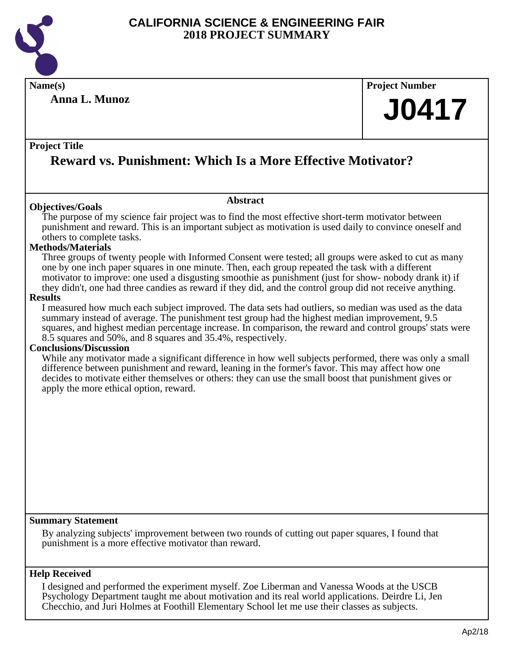

**Name(s) Project Number**

**Anna L. Munoz**

# **J0417**

## **Project Title**

# **Reward vs. Punishment: Which Is a More Effective Motivator?**

## **Objectives/Goals**

### **Abstract**

The purpose of my science fair project was to find the most effective short-term motivator between punishment and reward. This is an important subject as motivation is used daily to convince oneself and others to complete tasks.

## **Methods/Materials**

Three groups of twenty people with Informed Consent were tested; all groups were asked to cut as many one by one inch paper squares in one minute. Then, each group repeated the task with a different motivator to improve: one used a disgusting smoothie as punishment (just for show- nobody drank it) if they didn't, one had three candies as reward if they did, and the control group did not receive anything.

### **Results**

I measured how much each subject improved. The data sets had outliers, so median was used as the data summary instead of average. The punishment test group had the highest median improvement, 9.5 squares, and highest median percentage increase. In comparison, the reward and control groups' stats were 8.5 squares and 50%, and 8 squares and 35.4%, respectively.

## **Conclusions/Discussion**

While any motivator made a significant difference in how well subjects performed, there was only a small difference between punishment and reward, leaning in the former's favor. This may affect how one decides to motivate either themselves or others: they can use the small boost that punishment gives or apply the more ethical option, reward.

## **Summary Statement**

By analyzing subjects' improvement between two rounds of cutting out paper squares, I found that punishment is a more effective motivator than reward.

## **Help Received**

I designed and performed the experiment myself. Zoe Liberman and Vanessa Woods at the USCB Psychology Department taught me about motivation and its real world applications. Deirdre Li, Jen Checchio, and Juri Holmes at Foothill Elementary School let me use their classes as subjects.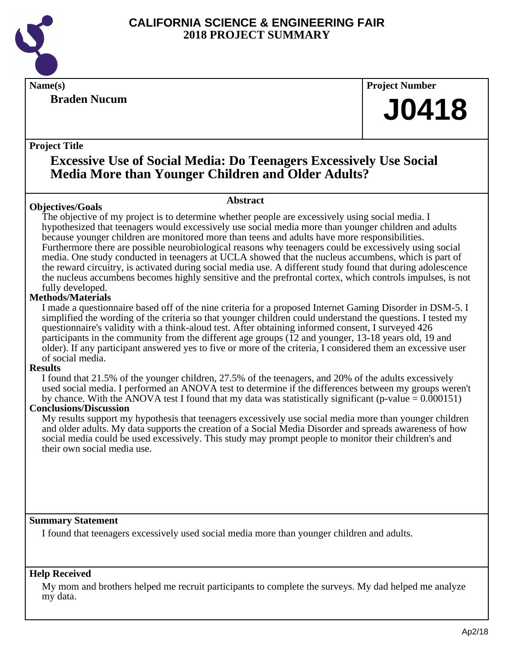

# **Braden Nucum**

**Name(s) Project Number**

# **J0418**

## **Project Title**

# **Excessive Use of Social Media: Do Teenagers Excessively Use Social Media More than Younger Children and Older Adults?**

## **Objectives/Goals**

## **Abstract**

The objective of my project is to determine whether people are excessively using social media. I hypothesized that teenagers would excessively use social media more than younger children and adults because younger children are monitored more than teens and adults have more responsibilities. Furthermore there are possible neurobiological reasons why teenagers could be excessively using social media. One study conducted in teenagers at UCLA showed that the nucleus accumbens, which is part of the reward circuitry, is activated during social media use. A different study found that during adolescence the nucleus accumbens becomes highly sensitive and the prefrontal cortex, which controls impulses, is not fully developed.

## **Methods/Materials**

I made a questionnaire based off of the nine criteria for a proposed Internet Gaming Disorder in DSM-5. I simplified the wording of the criteria so that younger children could understand the questions. I tested my questionnaire's validity with a think-aloud test. After obtaining informed consent, I surveyed 426 participants in the community from the different age groups (12 and younger, 13-18 years old, 19 and older). If any participant answered yes to five or more of the criteria, I considered them an excessive user of social media.

## **Results**

I found that 21.5% of the younger children, 27.5% of the teenagers, and 20% of the adults excessively used social media. I performed an ANOVA test to determine if the differences between my groups weren't by chance. With the ANOVA test I found that my data was statistically significant (p-value  $= 0.000151$ )

## **Conclusions/Discussion**

My results support my hypothesis that teenagers excessively use social media more than younger children and older adults. My data supports the creation of a Social Media Disorder and spreads awareness of how social media could be used excessively. This study may prompt people to monitor their children's and their own social media use.

## **Summary Statement**

I found that teenagers excessively used social media more than younger children and adults.

## **Help Received**

My mom and brothers helped me recruit participants to complete the surveys. My dad helped me analyze my data.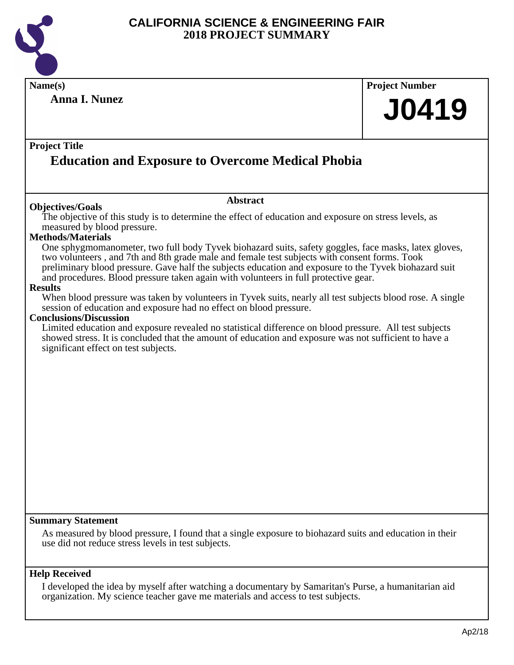

| <b>Anna I. Nunez</b><br><b>J0419</b><br><b>Education and Exposure to Overcome Medical Phobia</b><br><b>Abstract</b><br>The objective of this study is to determine the effect of education and exposure on stress levels, as<br>measured by blood pressure.<br>One sphygmomanometer, two full body Tyvek biohazard suits, safety goggles, face masks, latex gloves,<br>two volunteers, and 7th and 8th grade male and female test subjects with consent forms. Took<br>preliminary blood pressure. Gave half the subjects education and exposure to the Tyvek biohazard suit<br>and procedures. Blood pressure taken again with volunteers in full protective gear.<br>When blood pressure was taken by volunteers in Tyvek suits, nearly all test subjects blood rose. A single<br>session of education and exposure had no effect on blood pressure. | Limited education and exposure revealed no statistical difference on blood pressure. All test subjects<br>showed stress. It is concluded that the amount of education and exposure was not sufficient to have a<br>significant effect on test subjects. | Name(s)                                                                                                                      | <b>Project Number</b> |
|--------------------------------------------------------------------------------------------------------------------------------------------------------------------------------------------------------------------------------------------------------------------------------------------------------------------------------------------------------------------------------------------------------------------------------------------------------------------------------------------------------------------------------------------------------------------------------------------------------------------------------------------------------------------------------------------------------------------------------------------------------------------------------------------------------------------------------------------------------|---------------------------------------------------------------------------------------------------------------------------------------------------------------------------------------------------------------------------------------------------------|------------------------------------------------------------------------------------------------------------------------------|-----------------------|
|                                                                                                                                                                                                                                                                                                                                                                                                                                                                                                                                                                                                                                                                                                                                                                                                                                                        |                                                                                                                                                                                                                                                         |                                                                                                                              |                       |
|                                                                                                                                                                                                                                                                                                                                                                                                                                                                                                                                                                                                                                                                                                                                                                                                                                                        |                                                                                                                                                                                                                                                         | <b>Project Title</b>                                                                                                         |                       |
|                                                                                                                                                                                                                                                                                                                                                                                                                                                                                                                                                                                                                                                                                                                                                                                                                                                        |                                                                                                                                                                                                                                                         | <b>Objectives/Goals</b><br><b>Methods/Materials</b><br><b>Results</b><br><b>Conclusions/Discussion</b>                       |                       |
|                                                                                                                                                                                                                                                                                                                                                                                                                                                                                                                                                                                                                                                                                                                                                                                                                                                        |                                                                                                                                                                                                                                                         | <b>Summary Statement</b><br>use did not reduce stress levels in test subjects.                                               |                       |
| As measured by blood pressure, I found that a single exposure to biohazard suits and education in their                                                                                                                                                                                                                                                                                                                                                                                                                                                                                                                                                                                                                                                                                                                                                |                                                                                                                                                                                                                                                         | <b>Help Received</b><br>I developed the idea by myself after watching a documentary by Samaritan's Purse, a humanitarian aid |                       |

organization. My science teacher gave me materials and access to test subjects.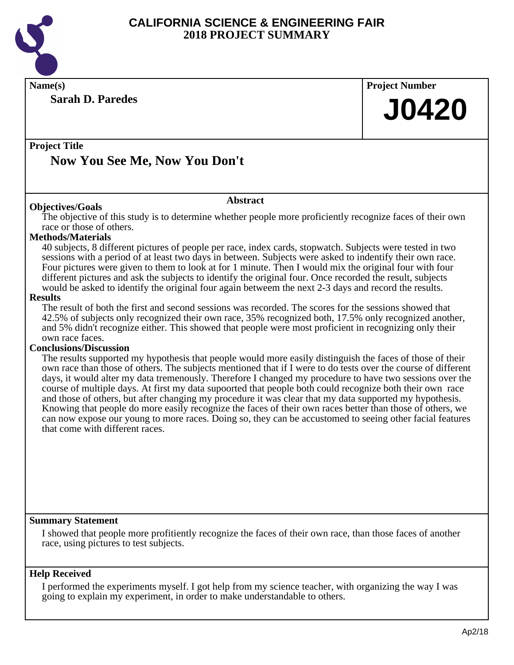

**Name(s) Project Number**

**Sarah D. Paredes**

**J0420**

## **Project Title**

# **Now You See Me, Now You Don't**

## **Abstract**

**Objectives/Goals** The objective of this study is to determine whether people more proficiently recognize faces of their own race or those of others.

## **Methods/Materials**

40 subjects, 8 different pictures of people per race, index cards, stopwatch. Subjects were tested in two sessions with a period of at least two days in between. Subjects were asked to indentify their own race. Four pictures were given to them to look at for 1 minute. Then I would mix the original four with four different pictures and ask the subjects to identify the original four. Once recorded the result, subjects would be asked to identify the original four again betweem the next 2-3 days and record the results.

### **Results**

The result of both the first and second sessions was recorded. The scores for the sessions showed that 42.5% of subjects only recognized their own race, 35% recognized both, 17.5% only recognized another, and 5% didn't recognize either. This showed that people were most proficient in recognizing only their own race faces.

## **Conclusions/Discussion**

The results supported my hypothesis that people would more easily distinguish the faces of those of their own race than those of others. The subjects mentioned that if I were to do tests over the course of different days, it would alter my data tremenously. Therefore I changed my procedure to have two sessions over the course of multiple days. At first my data supoorted that people both could recognize both their own race and those of others, but after changing my procedure it was clear that my data supported my hypothesis. Knowing that people do more easily recognize the faces of their own races better than those of others, we can now expose our young to more races. Doing so, they can be accustomed to seeing other facial features that come with different races.

## **Summary Statement**

I showed that people more profitiently recognize the faces of their own race, than those faces of another race, using pictures to test subjects.

## **Help Received**

I performed the experiments myself. I got help from my science teacher, with organizing the way I was going to explain my experiment, in order to make understandable to others.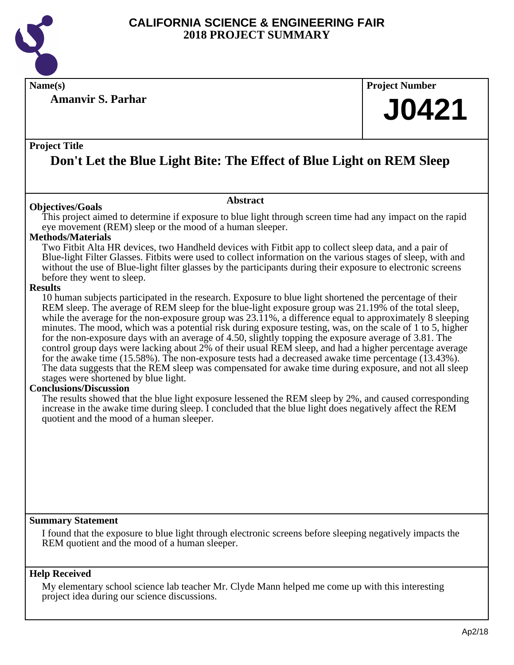

**Amanvir S. Parhar**

**Name(s) Project Number**

# **J0421**

## **Project Title**

# **Don't Let the Blue Light Bite: The Effect of Blue Light on REM Sleep**

**Abstract**

## **Objectives/Goals**

This project aimed to determine if exposure to blue light through screen time had any impact on the rapid eye movement (REM) sleep or the mood of a human sleeper.

## **Methods/Materials**

Two Fitbit Alta HR devices, two Handheld devices with Fitbit app to collect sleep data, and a pair of Blue-light Filter Glasses. Fitbits were used to collect information on the various stages of sleep, with and without the use of Blue-light filter glasses by the participants during their exposure to electronic screens before they went to sleep.

## **Results**

10 human subjects participated in the research. Exposure to blue light shortened the percentage of their REM sleep. The average of REM sleep for the blue-light exposure group was 21.19% of the total sleep, while the average for the non-exposure group was 23.11%, a difference equal to approximately 8 sleeping minutes. The mood, which was a potential risk during exposure testing, was, on the scale of 1 to 5, higher for the non-exposure days with an average of 4.50, slightly topping the exposure average of 3.81. The control group days were lacking about 2% of their usual REM sleep, and had a higher percentage average for the awake time (15.58%). The non-exposure tests had a decreased awake time percentage (13.43%). The data suggests that the REM sleep was compensated for awake time during exposure, and not all sleep stages were shortened by blue light.

## **Conclusions/Discussion**

The results showed that the blue light exposure lessened the REM sleep by 2%, and caused corresponding increase in the awake time during sleep. I concluded that the blue light does negatively affect the REM quotient and the mood of a human sleeper.

## **Summary Statement**

I found that the exposure to blue light through electronic screens before sleeping negatively impacts the REM quotient and the mood of a human sleeper.

## **Help Received**

My elementary school science lab teacher Mr. Clyde Mann helped me come up with this interesting project idea during our science discussions.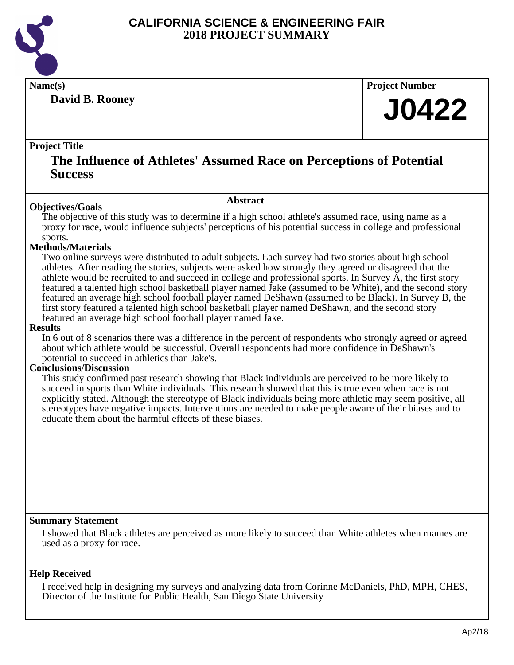

**David B. Rooney**

**Name(s) Project Number**

# **J0422**

## **Project Title**

# **The Influence of Athletes' Assumed Race on Perceptions of Potential Success**

### **Abstract**

**Objectives/Goals** The objective of this study was to determine if a high school athlete's assumed race, using name as a proxy for race, would influence subjects' perceptions of his potential success in college and professional sports.

## **Methods/Materials**

Two online surveys were distributed to adult subjects. Each survey had two stories about high school athletes. After reading the stories, subjects were asked how strongly they agreed or disagreed that the athlete would be recruited to and succeed in college and professional sports. In Survey A, the first story featured a talented high school basketball player named Jake (assumed to be White), and the second story featured an average high school football player named DeShawn (assumed to be Black). In Survey B, the first story featured a talented high school basketball player named DeShawn, and the second story featured an average high school football player named Jake.

#### **Results**

In 6 out of 8 scenarios there was a difference in the percent of respondents who strongly agreed or agreed about which athlete would be successful. Overall respondents had more confidence in DeShawn's potential to succeed in athletics than Jake's.

#### **Conclusions/Discussion**

This study confirmed past research showing that Black individuals are perceived to be more likely to succeed in sports than White individuals. This research showed that this is true even when race is not explicitly stated. Although the stereotype of Black individuals being more athletic may seem positive, all stereotypes have negative impacts. Interventions are needed to make people aware of their biases and to educate them about the harmful effects of these biases.

## **Summary Statement**

I showed that Black athletes are perceived as more likely to succeed than White athletes when rnames are used as a proxy for race.

## **Help Received**

I received help in designing my surveys and analyzing data from Corinne McDaniels, PhD, MPH, CHES, Director of the Institute for Public Health, San Diego State University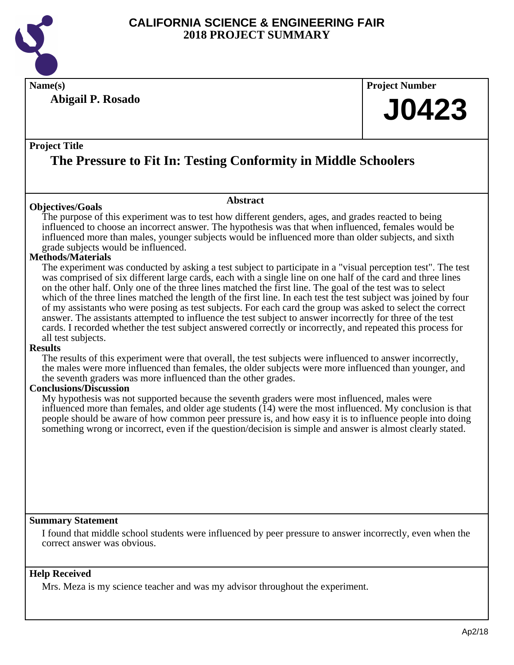

**Abigail P. Rosado**

**Name(s) Project Number**

# **J0423**

## **Project Title**

# **The Pressure to Fit In: Testing Conformity in Middle Schoolers**

## **Objectives/Goals**

The purpose of this experiment was to test how different genders, ages, and grades reacted to being influenced to choose an incorrect answer. The hypothesis was that when influenced, females would be influenced more than males, younger subjects would be influenced more than older subjects, and sixth grade subjects would be influenced.

**Abstract**

## **Methods/Materials**

The experiment was conducted by asking a test subject to participate in a "visual perception test". The test was comprised of six different large cards, each with a single line on one half of the card and three lines on the other half. Only one of the three lines matched the first line. The goal of the test was to select which of the three lines matched the length of the first line. In each test the test subject was joined by four of my assistants who were posing as test subjects. For each card the group was asked to select the correct answer. The assistants attempted to influence the test subject to answer incorrectly for three of the test cards. I recorded whether the test subject answered correctly or incorrectly, and repeated this process for all test subjects.

## **Results**

The results of this experiment were that overall, the test subjects were influenced to answer incorrectly, the males were more influenced than females, the older subjects were more influenced than younger, and the seventh graders was more influenced than the other grades.

## **Conclusions/Discussion**

My hypothesis was not supported because the seventh graders were most influenced, males were influenced more than females, and older age students  $(14)$  were the most influenced. My conclusion is that people should be aware of how common peer pressure is, and how easy it is to influence people into doing something wrong or incorrect, even if the question/decision is simple and answer is almost clearly stated.

## **Summary Statement**

I found that middle school students were influenced by peer pressure to answer incorrectly, even when the correct answer was obvious.

## **Help Received**

Mrs. Meza is my science teacher and was my advisor throughout the experiment.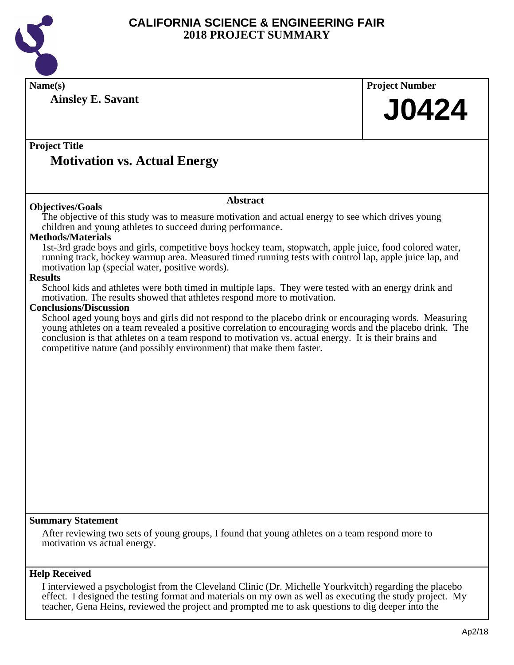

| Name(s)                                                                                                                                                                                                           | <b>Project Number</b> |
|-------------------------------------------------------------------------------------------------------------------------------------------------------------------------------------------------------------------|-----------------------|
| <b>Ainsley E. Savant</b>                                                                                                                                                                                          |                       |
|                                                                                                                                                                                                                   | <b>J0424</b>          |
|                                                                                                                                                                                                                   |                       |
|                                                                                                                                                                                                                   |                       |
| <b>Project Title</b>                                                                                                                                                                                              |                       |
| <b>Motivation vs. Actual Energy</b>                                                                                                                                                                               |                       |
|                                                                                                                                                                                                                   |                       |
|                                                                                                                                                                                                                   |                       |
| <b>Abstract</b><br><b>Objectives/Goals</b>                                                                                                                                                                        |                       |
| The objective of this study was to measure motivation and actual energy to see which drives young                                                                                                                 |                       |
| children and young athletes to succeed during performance.                                                                                                                                                        |                       |
| <b>Methods/Materials</b>                                                                                                                                                                                          |                       |
| 1st-3rd grade boys and girls, competitive boys hockey team, stopwatch, apple juice, food colored water,<br>running track, hockey warmup area. Measured timed running tests with control lap, apple juice lap, and |                       |
| motivation lap (special water, positive words).                                                                                                                                                                   |                       |
| <b>Results</b>                                                                                                                                                                                                    |                       |
| School kids and athletes were both timed in multiple laps. They were tested with an energy drink and<br>motivation. The results showed that athletes respond more to motivation.                                  |                       |
| <b>Conclusions/Discussion</b>                                                                                                                                                                                     |                       |
| School aged young boys and girls did not respond to the placebo drink or encouraging words. Measuring                                                                                                             |                       |
| young athletes on a team revealed a positive correlation to encouraging words and the placebo drink. The                                                                                                          |                       |
| conclusion is that athletes on a team respond to motivation vs. actual energy. It is their brains and                                                                                                             |                       |
| competitive nature (and possibly environment) that make them faster.                                                                                                                                              |                       |
|                                                                                                                                                                                                                   |                       |
|                                                                                                                                                                                                                   |                       |
|                                                                                                                                                                                                                   |                       |
|                                                                                                                                                                                                                   |                       |
|                                                                                                                                                                                                                   |                       |
|                                                                                                                                                                                                                   |                       |
|                                                                                                                                                                                                                   |                       |
|                                                                                                                                                                                                                   |                       |
|                                                                                                                                                                                                                   |                       |
|                                                                                                                                                                                                                   |                       |
|                                                                                                                                                                                                                   |                       |
|                                                                                                                                                                                                                   |                       |
| <b>Summary Statement</b>                                                                                                                                                                                          |                       |
|                                                                                                                                                                                                                   |                       |
| After reviewing two sets of young groups, I found that young athletes on a team respond more to<br>motivation vs actual energy.                                                                                   |                       |
|                                                                                                                                                                                                                   |                       |
|                                                                                                                                                                                                                   |                       |
| <b>Help Received</b>                                                                                                                                                                                              |                       |
| I interviewed a psychologist from the Cleveland Clinic (Dr. Michelle Yourkvitch) regarding the placebo                                                                                                            |                       |

effect. I designed the testing format and materials on my own as well as executing the study project. My teacher, Gena Heins, reviewed the project and prompted me to ask questions to dig deeper into the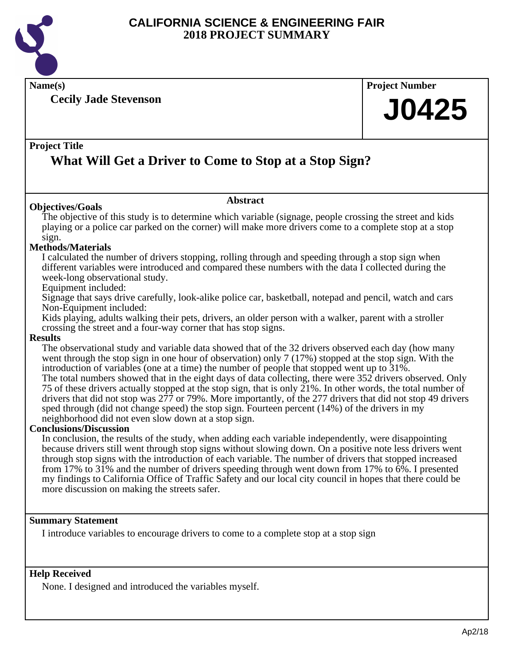

**Name(s) Project Number**

**Cecily Jade Stevenson**

# **J0425**

## **Project Title**

# **What Will Get a Driver to Come to Stop at a Stop Sign?**

## **Objectives/Goals**

The objective of this study is to determine which variable (signage, people crossing the street and kids playing or a police car parked on the corner) will make more drivers come to a complete stop at a stop sign.

**Abstract**

## **Methods/Materials**

I calculated the number of drivers stopping, rolling through and speeding through a stop sign when different variables were introduced and compared these numbers with the data I collected during the week-long observational study.

## Equipment included:

Signage that says drive carefully, look-alike police car, basketball, notepad and pencil, watch and cars Non-Equipment included:

Kids playing, adults walking their pets, drivers, an older person with a walker, parent with a stroller crossing the street and a four-way corner that has stop signs.

## **Results**

The observational study and variable data showed that of the 32 drivers observed each day (how many went through the stop sign in one hour of observation) only 7 (17%) stopped at the stop sign. With the introduction of variables (one at a time) the number of people that stopped went up to 31%.

The total numbers showed that in the eight days of data collecting, there were 352 drivers observed. Only 75 of these drivers actually stopped at the stop sign, that is only  $21\%$ . In other words, the total number of drivers that did not stop was 277 or 79%. More importantly, of the 277 drivers that did not stop 49 drivers sped through (did not change speed) the stop sign. Fourteen percent (14%) of the drivers in my neighborhood did not even slow down at a stop sign.

## **Conclusions/Discussion**

In conclusion, the results of the study, when adding each variable independently, were disappointing because drivers still went through stop signs without slowing down. On a positive note less drivers went through stop signs with the introduction of each variable. The number of drivers that stopped increased from 17% to 31% and the number of drivers speeding through went down from 17% to 6%. I presented my findings to California Office of Traffic Safety and our local city council in hopes that there could be more discussion on making the streets safer.

## **Summary Statement**

I introduce variables to encourage drivers to come to a complete stop at a stop sign

## **Help Received**

None. I designed and introduced the variables myself.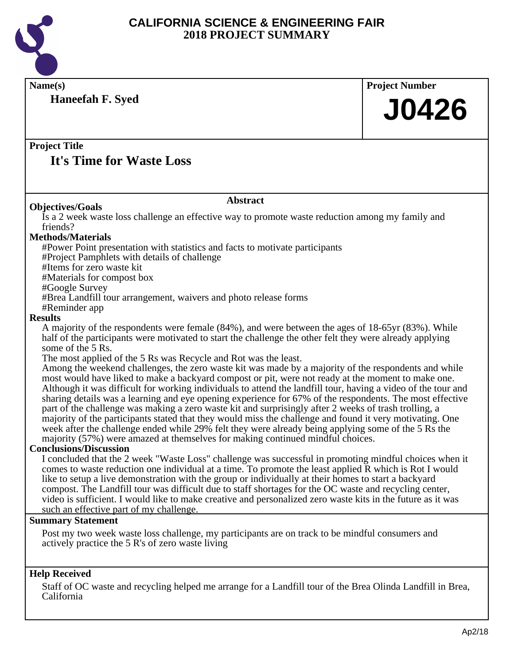

**Name(s) Project Number Haneefah F. Syed**

# **J0426**

## **Project Title**

# **It's Time for Waste Loss**

### **Objectives/Goals**

Is a 2 week waste loss challenge an effective way to promote waste reduction among my family and friends?

**Abstract**

## **Methods/Materials**

#Power Point presentation with statistics and facts to motivate participants

#Project Pamphlets with details of challenge

#Items for zero waste kit

#Materials for compost box

#Google Survey

#Brea Landfill tour arrangement, waivers and photo release forms

#Reminder app

## **Results**

A majority of the respondents were female (84%), and were between the ages of 18-65yr (83%). While half of the participants were motivated to start the challenge the other felt they were already applying some of the 5 Rs.

The most applied of the 5 Rs was Recycle and Rot was the least.

Among the weekend challenges, the zero waste kit was made by a majority of the respondents and while most would have liked to make a backyard compost or pit, were not ready at the moment to make one. Although it was difficult for working individuals to attend the landfill tour, having a video of the tour and sharing details was a learning and eye opening experience for 67% of the respondents. The most effective part of the challenge was making a zero waste kit and surprisingly after 2 weeks of trash trolling, a majority of the participants stated that they would miss the challenge and found it very motivating. One week after the challenge ended while 29% felt they were already being applying some of the 5 Rs the majority (57%) were amazed at themselves for making continued mindful choices.

## **Conclusions/Discussion**

I concluded that the 2 week "Waste Loss" challenge was successful in promoting mindful choices when it comes to waste reduction one individual at a time. To promote the least applied R which is Rot I would like to setup a live demonstration with the group or individually at their homes to start a backyard compost. The Landfill tour was difficult due to staff shortages for the OC waste and recycling center, video is sufficient. I would like to make creative and personalized zero waste kits in the future as it was such an effective part of my challenge.

#### **Summary Statement**

Post my two week waste loss challenge, my participants are on track to be mindful consumers and actively practice the 5 R's of zero waste living

## **Help Received**

Staff of OC waste and recycling helped me arrange for a Landfill tour of the Brea Olinda Landfill in Brea, California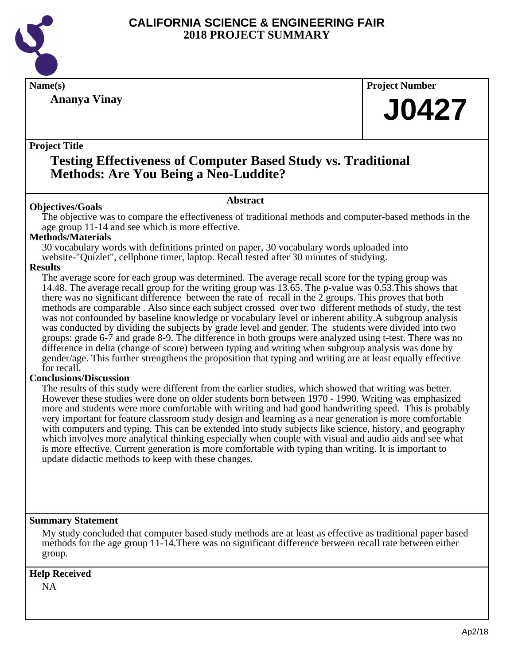

**Ananya Vinay**

**Name(s) Project Number**

# **J0427**

## **Project Title**

# **Testing Effectiveness of Computer Based Study vs. Traditional Methods: Are You Being a Neo-Luddite?**

## **Abstract**

**Objectives/Goals** The objective was to compare the effectiveness of traditional methods and computer-based methods in the age group 11-14 and see which is more effective.

## **Methods/Materials**

30 vocabulary words with definitions printed on paper, 30 vocabulary words uploaded into website-"Quizlet", cellphone timer, laptop. Recall tested after 30 minutes of studying.

## **Results**

The average score for each group was determined. The average recall score for the typing group was 14.48. The average recall group for the writing group was 13.65. The p-value was 0.53.This shows that there was no significant difference between the rate of recall in the 2 groups. This proves that both methods are comparable . Also since each subject crossed over two different methods of study, the test was not confounded by baseline knowledge or vocabulary level or inherent ability.A subgroup analysis was conducted by dividing the subjects by grade level and gender. The students were divided into two groups: grade 6-7 and grade 8-9. The difference in both groups were analyzed using t-test. There was no difference in delta (change of score) between typing and writing when subgroup analysis was done by gender/age. This further strengthens the proposition that typing and writing are at least equally effective for recall.

## **Conclusions/Discussion**

The results of this study were different from the earlier studies, which showed that writing was better. However these studies were done on older students born between 1970 - 1990. Writing was emphasized more and students were more comfortable with writing and had good handwriting speed. This is probably very important for feature classroom study design and learning as a near generation is more comfortable with computers and typing. This can be extended into study subjects like science, history, and geography which involves more analytical thinking especially when couple with visual and audio aids and see what is more effective. Current generation is more comfortable with typing than writing. It is important to update didactic methods to keep with these changes.

## **Summary Statement**

My study concluded that computer based study methods are at least as effective as traditional paper based methods for the age group 11-14.There was no significant difference between recall rate between either group.

## **Help Received**

NA